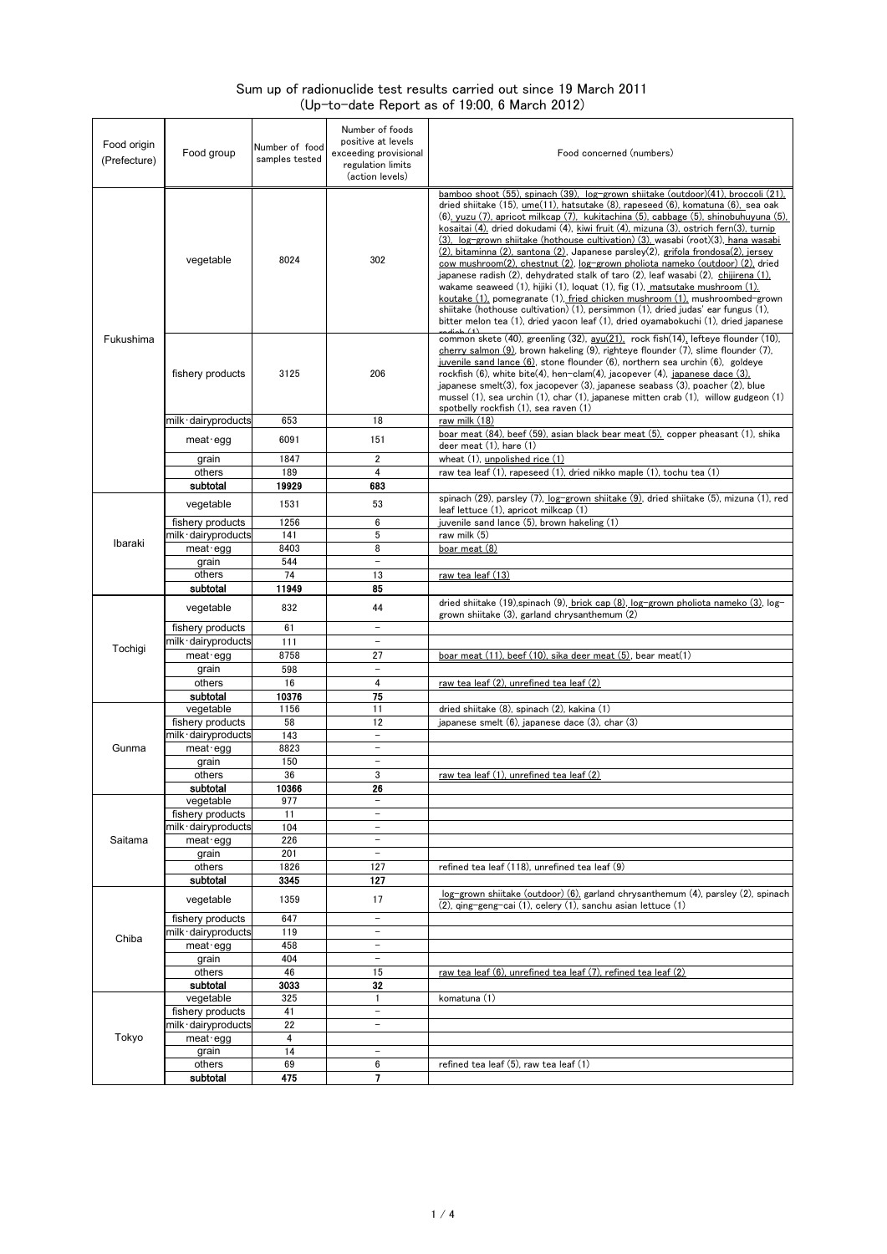## Sum up of radionuclide test results carried out since 19 March 2011 (Up-to-date Report as of 19:00, 6 March 2012)

| Food origin<br>(Prefecture) | Food group                               | Number of food<br>samples tested | Number of foods<br>positive at levels<br>exceeding provisional<br>regulation limits<br>(action levels) | Food concerned (numbers)                                                                                                                                                                                                                                                                                                                                                                                                                                                                                                                                                                                                                                                                                                                                                                                                                                                                                                                                                                                                                                        |
|-----------------------------|------------------------------------------|----------------------------------|--------------------------------------------------------------------------------------------------------|-----------------------------------------------------------------------------------------------------------------------------------------------------------------------------------------------------------------------------------------------------------------------------------------------------------------------------------------------------------------------------------------------------------------------------------------------------------------------------------------------------------------------------------------------------------------------------------------------------------------------------------------------------------------------------------------------------------------------------------------------------------------------------------------------------------------------------------------------------------------------------------------------------------------------------------------------------------------------------------------------------------------------------------------------------------------|
| Fukushima                   | vegetable                                | 8024                             | 302                                                                                                    | bamboo shoot (55), spinach (39), log-grown shiitake (outdoor)(41), broccoli (21),<br>dried shiitake (15), ume(11), hatsutake (8), rapeseed (6), komatuna (6), sea oak<br>(6), yuzu (7), apricot milkcap (7), kukitachina (5), cabbage (5), shinobuhuyuna (5),<br>kosaitai (4), dried dokudami (4), kiwi fruit (4), mizuna (3), ostrich fern(3), turnip<br>(3), log-grown shiitake (hothouse cultivation) (3), wasabi (root)(3), hana wasabi<br>(2), bitaminna (2), santona (2), Japanese parsley(2), grifola frondosa(2), jersey<br>cow mushroom(2), chestnut (2), log-grown pholiota nameko (outdoor) (2), dried<br>japanese radish (2), dehydrated stalk of taro (2), leaf wasabi (2), chijirena (1),<br>wakame seaweed $(1)$ , hijiki $(1)$ , loquat $(1)$ , fig $(1)$ , matsutake mushroom $(1)$ .<br>koutake (1), pomegranate (1), fried chicken mushroom (1), mushroombed-grown<br>shiitake (hothouse cultivation) (1), persimmon (1), dried judas' ear fungus (1),<br>bitter melon tea (1), dried yacon leaf (1), dried oyamabokuchi (1), dried japanese |
|                             | fishery products<br>milk∙dairyproducts   | 3125<br>653                      | 206<br>18                                                                                              | common skete (40), greenling (32), avu(21), rock fish(14), lefteye flounder (10),<br>$cherry$ salmon (9), brown hakeling (9), righteye flounder (7), slime flounder (7),<br>juvenile sand lance $(6)$ , stone flounder $(6)$ , northern sea urchin $(6)$ , goldeye<br>rockfish (6), white bite(4), hen-clam(4), jacopever (4), japanese dace (3).<br>japanese smelt $(3)$ , fox jacopever $(3)$ , japanese seabass $(3)$ , poacher $(2)$ , blue<br>mussel $(1)$ , sea urchin $(1)$ , char $(1)$ , japanese mitten crab $(1)$ , willow gudgeon $(1)$<br>spotbelly rockfish (1), sea raven (1)<br>raw milk (18)                                                                                                                                                                                                                                                                                                                                                                                                                                                   |
|                             | meat egg                                 | 6091                             | 151                                                                                                    | boar meat (84), beef (59), asian black bear meat (5), copper pheasant (1), shika                                                                                                                                                                                                                                                                                                                                                                                                                                                                                                                                                                                                                                                                                                                                                                                                                                                                                                                                                                                |
|                             | grain                                    | 1847                             | $\overline{2}$                                                                                         | deer meat (1), hare (1)<br>wheat (1), unpolished rice (1)                                                                                                                                                                                                                                                                                                                                                                                                                                                                                                                                                                                                                                                                                                                                                                                                                                                                                                                                                                                                       |
|                             | others                                   | 189                              | 4                                                                                                      | raw tea leaf (1), rapeseed (1), dried nikko maple (1), tochu tea (1)                                                                                                                                                                                                                                                                                                                                                                                                                                                                                                                                                                                                                                                                                                                                                                                                                                                                                                                                                                                            |
|                             | subtotal                                 | 19929                            | 683                                                                                                    | spinach (29), parsley (7), log-grown shiitake (9), dried shiitake (5), mizuna (1), red                                                                                                                                                                                                                                                                                                                                                                                                                                                                                                                                                                                                                                                                                                                                                                                                                                                                                                                                                                          |
|                             | vegetable                                | 1531                             | 53                                                                                                     | leaf lettuce (1), apricot milkcap (1)                                                                                                                                                                                                                                                                                                                                                                                                                                                                                                                                                                                                                                                                                                                                                                                                                                                                                                                                                                                                                           |
|                             | fishery products<br>milk dairyproducts   | 1256<br>141                      | 6<br>5                                                                                                 | juvenile sand lance (5), brown hakeling (1)<br>raw milk (5)                                                                                                                                                                                                                                                                                                                                                                                                                                                                                                                                                                                                                                                                                                                                                                                                                                                                                                                                                                                                     |
| Ibaraki                     | meat egg                                 | 8403                             | 8                                                                                                      | boar meat (8)                                                                                                                                                                                                                                                                                                                                                                                                                                                                                                                                                                                                                                                                                                                                                                                                                                                                                                                                                                                                                                                   |
|                             | grain                                    | 544                              | $\overline{\phantom{a}}$                                                                               |                                                                                                                                                                                                                                                                                                                                                                                                                                                                                                                                                                                                                                                                                                                                                                                                                                                                                                                                                                                                                                                                 |
|                             | others                                   | 74                               | 13                                                                                                     | <u>raw tea leaf (13)</u>                                                                                                                                                                                                                                                                                                                                                                                                                                                                                                                                                                                                                                                                                                                                                                                                                                                                                                                                                                                                                                        |
|                             | subtotal                                 | 11949                            | 85                                                                                                     | dried shiitake $(19)$ , spinach $(9)$ , brick cap $(8)$ , log-grown pholiota nameko $(3)$ , log-                                                                                                                                                                                                                                                                                                                                                                                                                                                                                                                                                                                                                                                                                                                                                                                                                                                                                                                                                                |
|                             | vegetable                                | 832                              | 44<br>$\equiv$                                                                                         | grown shiitake (3), garland chrysanthemum (2)                                                                                                                                                                                                                                                                                                                                                                                                                                                                                                                                                                                                                                                                                                                                                                                                                                                                                                                                                                                                                   |
|                             | fishery products<br>milk∙dairyproducts   | 61<br>111                        | $\overline{\phantom{0}}$                                                                               |                                                                                                                                                                                                                                                                                                                                                                                                                                                                                                                                                                                                                                                                                                                                                                                                                                                                                                                                                                                                                                                                 |
| Tochigi                     | meat egg                                 | 8758                             | 27                                                                                                     | boar meat (11), beef (10), sika deer meat (5), bear meat(1)                                                                                                                                                                                                                                                                                                                                                                                                                                                                                                                                                                                                                                                                                                                                                                                                                                                                                                                                                                                                     |
|                             | grain                                    | 598                              | $\overline{\phantom{0}}$                                                                               |                                                                                                                                                                                                                                                                                                                                                                                                                                                                                                                                                                                                                                                                                                                                                                                                                                                                                                                                                                                                                                                                 |
|                             | others                                   | 16                               | 4                                                                                                      | raw tea leaf (2), unrefined tea leaf (2)                                                                                                                                                                                                                                                                                                                                                                                                                                                                                                                                                                                                                                                                                                                                                                                                                                                                                                                                                                                                                        |
|                             | subtotal<br>vegetable                    | 10376<br>1156                    | 75<br>11                                                                                               | dried shiitake (8), spinach (2), kakina (1)                                                                                                                                                                                                                                                                                                                                                                                                                                                                                                                                                                                                                                                                                                                                                                                                                                                                                                                                                                                                                     |
|                             | fishery products                         | 58                               | 12                                                                                                     | japanese smelt $(6)$ , japanese dace $(3)$ , char $(3)$                                                                                                                                                                                                                                                                                                                                                                                                                                                                                                                                                                                                                                                                                                                                                                                                                                                                                                                                                                                                         |
|                             | milk · dairyproducts                     | 143                              | $\overline{\phantom{a}}$                                                                               |                                                                                                                                                                                                                                                                                                                                                                                                                                                                                                                                                                                                                                                                                                                                                                                                                                                                                                                                                                                                                                                                 |
| Gunma                       | $meat-eqq$                               | 8823                             | $\overline{\phantom{a}}$                                                                               |                                                                                                                                                                                                                                                                                                                                                                                                                                                                                                                                                                                                                                                                                                                                                                                                                                                                                                                                                                                                                                                                 |
|                             | grain<br>others                          | 150<br>36                        | $\overline{\phantom{0}}$<br>3                                                                          | raw tea leaf (1), unrefined tea leaf (2)                                                                                                                                                                                                                                                                                                                                                                                                                                                                                                                                                                                                                                                                                                                                                                                                                                                                                                                                                                                                                        |
|                             | subtotal                                 | 10366                            | 26                                                                                                     |                                                                                                                                                                                                                                                                                                                                                                                                                                                                                                                                                                                                                                                                                                                                                                                                                                                                                                                                                                                                                                                                 |
|                             | vegetable                                | 977                              | $\overline{a}$                                                                                         |                                                                                                                                                                                                                                                                                                                                                                                                                                                                                                                                                                                                                                                                                                                                                                                                                                                                                                                                                                                                                                                                 |
| Saitama                     | fishery products<br>milk · dairyproducts | 11<br>104                        | $\qquad \qquad -$<br>$\overline{\phantom{0}}$                                                          |                                                                                                                                                                                                                                                                                                                                                                                                                                                                                                                                                                                                                                                                                                                                                                                                                                                                                                                                                                                                                                                                 |
|                             | meat · egg                               | 226                              | $\qquad \qquad -$                                                                                      |                                                                                                                                                                                                                                                                                                                                                                                                                                                                                                                                                                                                                                                                                                                                                                                                                                                                                                                                                                                                                                                                 |
|                             | grain                                    | 201                              | $\overline{\phantom{a}}$                                                                               |                                                                                                                                                                                                                                                                                                                                                                                                                                                                                                                                                                                                                                                                                                                                                                                                                                                                                                                                                                                                                                                                 |
|                             | others                                   | 1826                             | 127                                                                                                    | refined tea leaf (118), unrefined tea leaf (9)                                                                                                                                                                                                                                                                                                                                                                                                                                                                                                                                                                                                                                                                                                                                                                                                                                                                                                                                                                                                                  |
|                             | subtotal                                 | 3345                             | 127                                                                                                    | log-grown shiitake (outdoor) (6), garland chrysanthemum (4), parsley (2), spinach                                                                                                                                                                                                                                                                                                                                                                                                                                                                                                                                                                                                                                                                                                                                                                                                                                                                                                                                                                               |
|                             | vegetable                                | 1359                             | 17                                                                                                     | (2), ging-geng-cai (1), celery (1), sanchu asian lettuce (1)                                                                                                                                                                                                                                                                                                                                                                                                                                                                                                                                                                                                                                                                                                                                                                                                                                                                                                                                                                                                    |
|                             | fishery products<br>milk·dairyproducts   | 647<br>119                       | $\overline{\phantom{0}}$<br>$\overline{\phantom{a}}$                                                   |                                                                                                                                                                                                                                                                                                                                                                                                                                                                                                                                                                                                                                                                                                                                                                                                                                                                                                                                                                                                                                                                 |
| Chiba                       | $meat$ egg                               | 458                              | $\qquad \qquad -$                                                                                      |                                                                                                                                                                                                                                                                                                                                                                                                                                                                                                                                                                                                                                                                                                                                                                                                                                                                                                                                                                                                                                                                 |
|                             | grain                                    | 404                              | $\overline{\phantom{a}}$                                                                               |                                                                                                                                                                                                                                                                                                                                                                                                                                                                                                                                                                                                                                                                                                                                                                                                                                                                                                                                                                                                                                                                 |
|                             | others                                   | 46                               | 15                                                                                                     | raw tea leaf (6), unrefined tea leaf (7), refined tea leaf (2)                                                                                                                                                                                                                                                                                                                                                                                                                                                                                                                                                                                                                                                                                                                                                                                                                                                                                                                                                                                                  |
| Tokyo                       | subtotal<br>vegetable                    | 3033<br>325                      | 32<br>1                                                                                                | komatuna (1)                                                                                                                                                                                                                                                                                                                                                                                                                                                                                                                                                                                                                                                                                                                                                                                                                                                                                                                                                                                                                                                    |
|                             | fishery products                         | 41                               | $\overline{\phantom{0}}$                                                                               |                                                                                                                                                                                                                                                                                                                                                                                                                                                                                                                                                                                                                                                                                                                                                                                                                                                                                                                                                                                                                                                                 |
|                             | milk · dairyproducts                     | 22                               | $\overline{\phantom{0}}$                                                                               |                                                                                                                                                                                                                                                                                                                                                                                                                                                                                                                                                                                                                                                                                                                                                                                                                                                                                                                                                                                                                                                                 |
|                             | meat · egg                               | 4                                |                                                                                                        |                                                                                                                                                                                                                                                                                                                                                                                                                                                                                                                                                                                                                                                                                                                                                                                                                                                                                                                                                                                                                                                                 |
|                             | grain<br>others                          | 14<br>69                         | $\overline{\phantom{a}}$<br>6                                                                          | refined tea leaf (5), raw tea leaf (1)                                                                                                                                                                                                                                                                                                                                                                                                                                                                                                                                                                                                                                                                                                                                                                                                                                                                                                                                                                                                                          |
|                             | subtotal                                 | 475                              | 7                                                                                                      |                                                                                                                                                                                                                                                                                                                                                                                                                                                                                                                                                                                                                                                                                                                                                                                                                                                                                                                                                                                                                                                                 |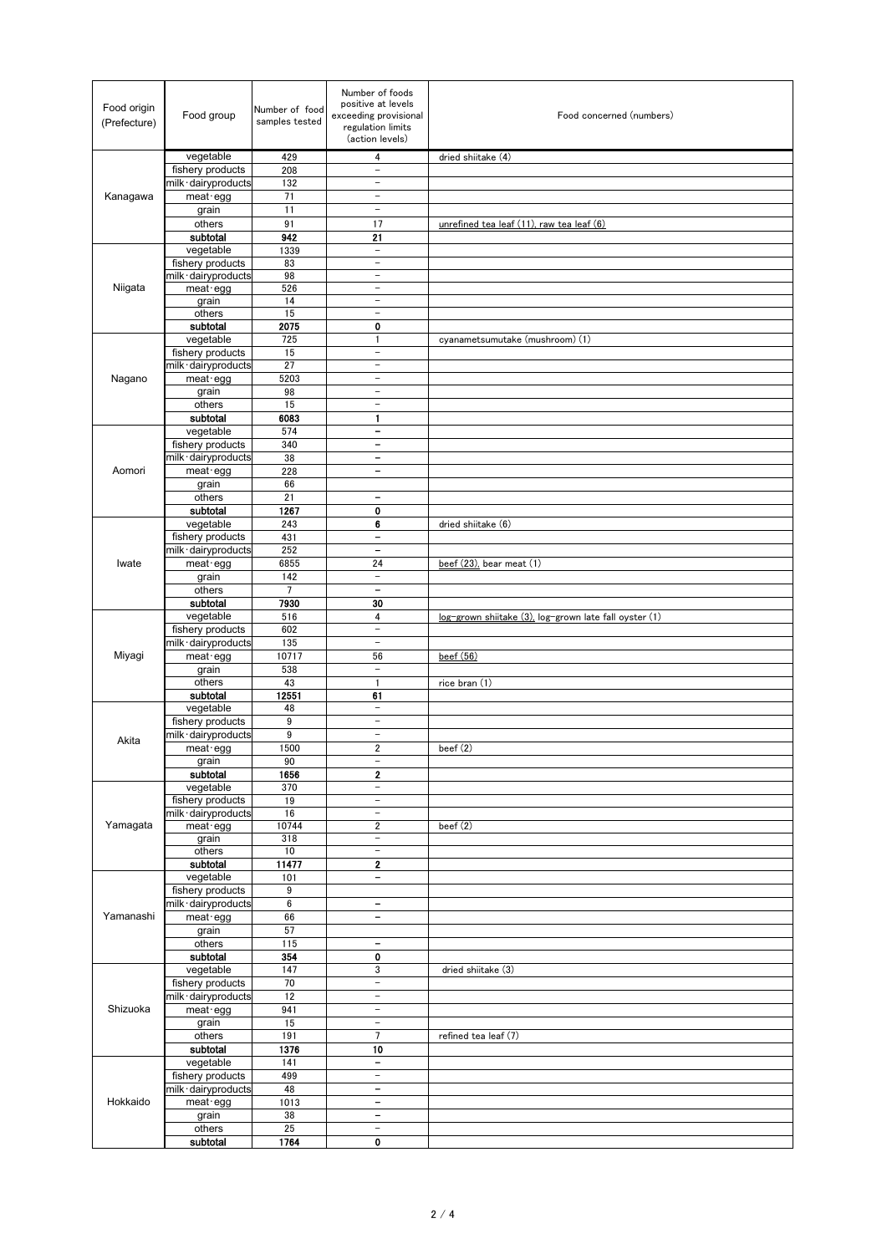| Food origin<br>(Prefecture) | Food group            | Number of food<br>samples tested | Number of foods<br>positive at levels<br>exceeding provisional<br>regulation limits<br>(action levels) | Food concerned (numbers)                               |
|-----------------------------|-----------------------|----------------------------------|--------------------------------------------------------------------------------------------------------|--------------------------------------------------------|
|                             | vegetable             | 429                              | $\overline{\mathbf{4}}$                                                                                | dried shiitake (4)                                     |
|                             | fishery products      | 208                              | $\qquad \qquad -$                                                                                      |                                                        |
|                             | milk · dairyproducts  | 132                              | $\overline{\phantom{a}}$                                                                               |                                                        |
| Kanagawa                    | $meat$ egg            | 71                               | $\overline{\phantom{a}}$                                                                               |                                                        |
|                             | grain                 | 11                               | $\qquad \qquad -$                                                                                      |                                                        |
|                             | others                | 91                               | 17                                                                                                     | unrefined tea leaf (11), raw tea leaf (6)              |
|                             | subtotal              | 942                              | 21                                                                                                     |                                                        |
|                             | vegetable             | 1339                             | $\overline{\phantom{a}}$                                                                               |                                                        |
|                             | fishery products      | 83                               | $\overline{\phantom{a}}$                                                                               |                                                        |
|                             | milk · dairyproducts  | 98                               | $\overline{\phantom{0}}$                                                                               |                                                        |
| Niigata                     | meat egg              | 526                              | $\qquad \qquad -$<br>$\overline{\phantom{0}}$                                                          |                                                        |
|                             | grain<br>others       | 14<br>15                         | $\overline{\phantom{0}}$                                                                               |                                                        |
|                             | subtotal              | 2075                             | 0                                                                                                      |                                                        |
|                             | vegetable             | 725                              | 1                                                                                                      | cyanametsumutake (mushroom) (1)                        |
|                             | fishery products      | 15                               | $\qquad \qquad -$                                                                                      |                                                        |
|                             | milk · dairyproducts  | 27                               | $\overline{\phantom{a}}$                                                                               |                                                        |
| Nagano                      | meat · egg            | 5203                             | $\overline{\phantom{a}}$                                                                               |                                                        |
|                             | grain                 | 98                               | $\overline{\phantom{0}}$                                                                               |                                                        |
|                             | others                | 15                               | $\overline{\phantom{0}}$                                                                               |                                                        |
|                             | subtotal              | 6083                             | 1                                                                                                      |                                                        |
|                             | vegetable             | 574                              | $\qquad \qquad \blacksquare$                                                                           |                                                        |
|                             | fishery products      | 340                              | $\qquad \qquad \blacksquare$                                                                           |                                                        |
|                             | milk · dairyproducts  | 38                               | $\qquad \qquad \blacksquare$                                                                           |                                                        |
| Aomori                      | meat · egg            | 228                              | $\qquad \qquad \blacksquare$                                                                           |                                                        |
|                             | grain<br>others       | 66<br>21                         | $\qquad \qquad \blacksquare$                                                                           |                                                        |
|                             | subtotal              | 1267                             | 0                                                                                                      |                                                        |
|                             | vegetable             | 243                              | 6                                                                                                      | dried shiitake (6)                                     |
|                             | fishery products      | 431                              | $\qquad \qquad \blacksquare$                                                                           |                                                        |
|                             | milk · dairyproducts  | 252                              | $\qquad \qquad \blacksquare$                                                                           |                                                        |
| Iwate                       | $meat$ egg            | 6855                             | 24                                                                                                     | $beef(23)$ , bear meat $(1)$                           |
|                             | grain                 | 142                              | $\overline{\phantom{a}}$                                                                               |                                                        |
|                             | others                | $\overline{7}$                   | $\qquad \qquad -$                                                                                      |                                                        |
|                             | subtotal              | 7930                             | 30                                                                                                     |                                                        |
|                             | vegetable             | 516                              | 4                                                                                                      | log-grown shiitake (3), log-grown late fall oyster (1) |
|                             | fishery products      | 602                              | $\qquad \qquad -$                                                                                      |                                                        |
|                             | milk · dairyproducts  | 135                              | $\qquad \qquad -$                                                                                      |                                                        |
| Miyagi                      | meat egg              | 10717                            | 56                                                                                                     | beef(56)                                               |
|                             | grain                 | 538                              | $\qquad \qquad -$                                                                                      |                                                        |
|                             | others                | 43                               | $\mathbf{1}$                                                                                           | rice bran (1)                                          |
|                             | subtotal<br>vegetable | 12551<br>48                      | 61<br>$\overline{\phantom{a}}$                                                                         |                                                        |
|                             | fishery products      | 9                                | $\qquad \qquad -$                                                                                      |                                                        |
|                             | milk · dairyproducts  | 9                                | $\overline{\phantom{a}}$                                                                               |                                                        |
| Akita                       | meat egg              | 1500                             | 2                                                                                                      | beef $(2)$                                             |
|                             | grain                 | 90                               | $\qquad \qquad -$                                                                                      |                                                        |
|                             | subtotal              | 1656                             | 2                                                                                                      |                                                        |
|                             | vegetable             | 370                              | $\qquad \qquad -$                                                                                      |                                                        |
|                             | fishery products      | 19                               | $\overline{\phantom{a}}$                                                                               |                                                        |
|                             | milk · dairyproducts  | $16\,$                           | $\overline{\phantom{a}}$                                                                               |                                                        |
| Yamagata                    | meat egg              | 10744                            | $\overline{\mathbf{2}}$                                                                                | beef (2)                                               |
|                             | grain<br>others       | 318<br>$10$                      | $\qquad \qquad -$<br>$\overline{\phantom{0}}$                                                          |                                                        |
|                             | subtotal              | 11477                            | 2                                                                                                      |                                                        |
|                             | vegetable             | 101                              | $\overline{\phantom{0}}$                                                                               |                                                        |
|                             | fishery products      | 9                                |                                                                                                        |                                                        |
|                             | milk · dairyproducts  | 6                                | $\qquad \qquad \blacksquare$                                                                           |                                                        |
| Yamanashi                   | meat · egg            | 66                               | $\overline{\phantom{0}}$                                                                               |                                                        |
|                             | grain                 | 57                               |                                                                                                        |                                                        |
|                             | others                | 115                              | $\qquad \qquad \blacksquare$                                                                           |                                                        |
|                             | subtotal              | 354                              | 0                                                                                                      |                                                        |
| Shizuoka                    | vegetable             | 147                              | 3                                                                                                      | dried shiitake (3)                                     |
|                             | fishery products      | 70                               | $\overline{\phantom{0}}$                                                                               |                                                        |
|                             | milk · dairyproducts  | 12                               | $\overline{\phantom{0}}$                                                                               |                                                        |
|                             | meat · egg            | 941                              | $\qquad \qquad -$                                                                                      |                                                        |
|                             | grain                 | 15                               | $\overline{\phantom{a}}$<br>$\overline{7}$                                                             |                                                        |
|                             | others<br>subtotal    | 191<br>1376                      | 10                                                                                                     | refined tea leaf (7)                                   |
|                             | vegetable             | 141                              | -                                                                                                      |                                                        |
| Hokkaido                    | fishery products      | 499                              | $\qquad \qquad -$                                                                                      |                                                        |
|                             | milk · dairyproducts  | 48                               | $\qquad \qquad \blacksquare$                                                                           |                                                        |
|                             | meat egg              | 1013                             | $\qquad \qquad \blacksquare$                                                                           |                                                        |
|                             | grain                 | 38                               | $\overline{\phantom{a}}$                                                                               |                                                        |
|                             | others                | 25                               | $\equiv$                                                                                               |                                                        |
|                             | subtotal              | 1764                             | 0                                                                                                      |                                                        |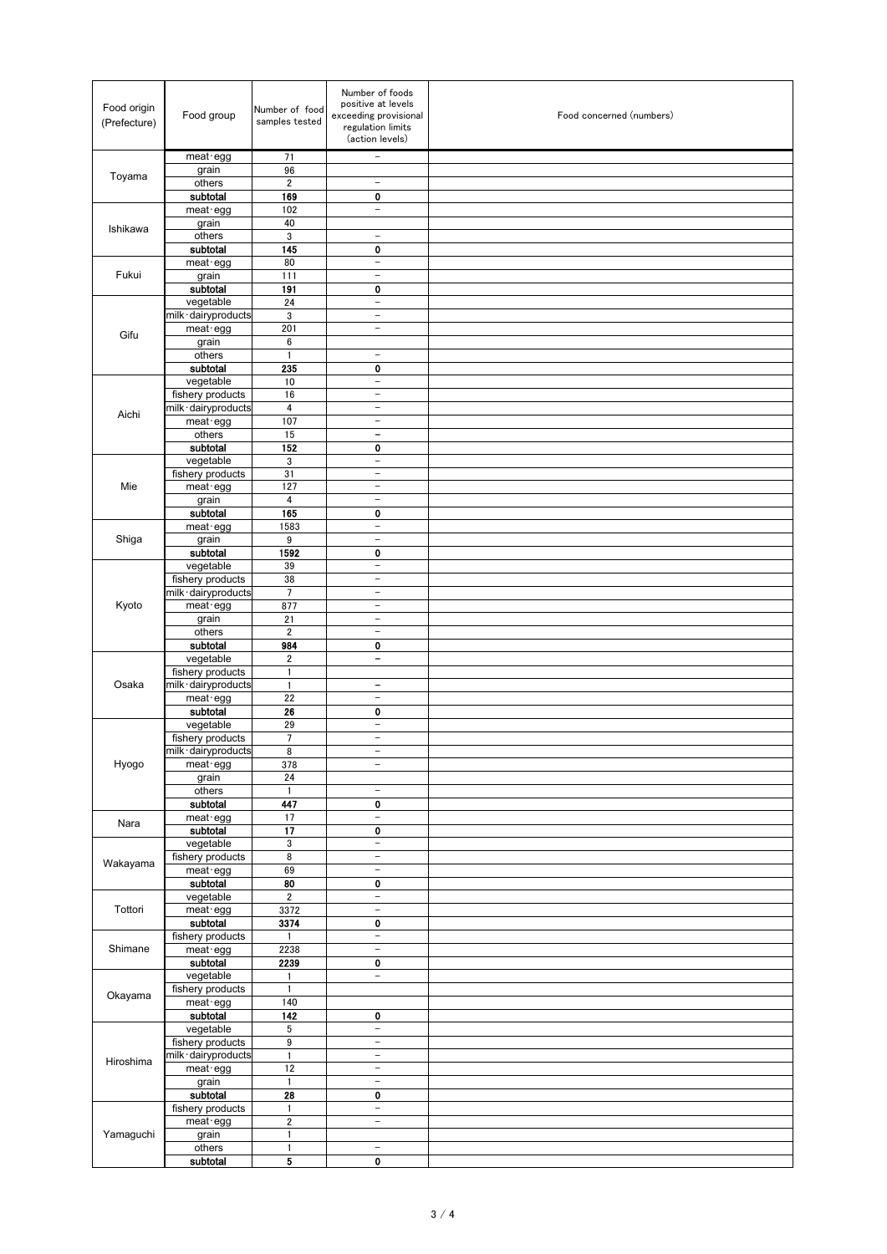| Food origin<br>(Prefecture) | Food group                               | Number of food<br>samples tested | Number of foods<br>positive at levels<br>exceeding provisional<br>regulation limits<br>(action levels) | Food concerned (numbers) |
|-----------------------------|------------------------------------------|----------------------------------|--------------------------------------------------------------------------------------------------------|--------------------------|
|                             | meat egg                                 | 71                               | $\qquad \qquad -$                                                                                      |                          |
| Toyama                      | grain                                    | 96                               |                                                                                                        |                          |
|                             | others<br>subtotal                       | $\overline{\mathbf{2}}$<br>169   | $\qquad \qquad -$<br>0                                                                                 |                          |
|                             | meat · egg                               | 102                              | $\overline{\phantom{0}}$                                                                               |                          |
|                             | grain                                    | 40                               |                                                                                                        |                          |
| Ishikawa                    | others                                   | 3                                | $\overline{\phantom{0}}$                                                                               |                          |
|                             | subtotal                                 | 145                              | 0                                                                                                      |                          |
|                             | $meat$ egg                               | 80                               | $\qquad \qquad -$                                                                                      |                          |
| Fukui                       | grain                                    | 111                              | $\overline{\phantom{a}}$                                                                               |                          |
|                             | subtotal<br>vegetable                    | 191<br>24                        | 0<br>$\equiv$                                                                                          |                          |
|                             | milk · dairyproducts                     | 3                                | $\overline{\phantom{a}}$                                                                               |                          |
|                             | meat egg                                 | 201                              | $\overline{\phantom{a}}$                                                                               |                          |
| Gifu                        | grain                                    | 6                                |                                                                                                        |                          |
|                             | others                                   | $\mathbf{1}$                     | $\overline{\phantom{a}}$                                                                               |                          |
|                             | subtotal                                 | 235                              | 0                                                                                                      |                          |
|                             | vegetable                                | 10                               | $\overline{\phantom{0}}$                                                                               |                          |
|                             | fishery products<br>milk · dairyproducts | 16<br>$\overline{\mathbf{4}}$    | $\qquad \qquad -$<br>$\overline{\phantom{a}}$                                                          |                          |
| Aichi                       | meat · egg                               | 107                              | $\overline{\phantom{a}}$                                                                               |                          |
|                             | others                                   | 15                               | $\overline{\phantom{a}}$                                                                               |                          |
|                             | subtotal                                 | 152                              | $\bf{0}$                                                                                               |                          |
|                             | vegetable                                | 3                                | $\overline{\phantom{0}}$                                                                               |                          |
|                             | fishery products                         | 31                               | $\overline{\phantom{m}}$                                                                               |                          |
| Mie                         | $meat$ -egg                              | 127                              | $\qquad \qquad -$                                                                                      |                          |
|                             | grain                                    | 4<br>165                         | $\overline{\phantom{a}}$<br>0                                                                          |                          |
|                             | subtotal<br>meat egg                     | 1583                             | $\overline{\phantom{0}}$                                                                               |                          |
| Shiga                       | grain                                    | 9                                | $\overline{\phantom{a}}$                                                                               |                          |
|                             | subtotal                                 | 1592                             | $\bf{0}$                                                                                               |                          |
|                             | vegetable                                | 39                               | $\overline{\phantom{a}}$                                                                               |                          |
|                             | fishery products                         | 38                               | $\overline{\phantom{a}}$                                                                               |                          |
|                             | milk · dairyproducts                     | $\overline{7}$                   | $\overline{\phantom{0}}$                                                                               |                          |
| Kyoto                       | meat · egg                               | 877                              | $\overline{\phantom{0}}$                                                                               |                          |
|                             | grain<br>others                          | 21<br>$\overline{2}$             | $\overline{\phantom{0}}$<br>$\overline{\phantom{a}}$                                                   |                          |
|                             | subtotal                                 | 984                              | 0                                                                                                      |                          |
|                             | vegetable                                | $\overline{\mathbf{c}}$          | $\qquad \qquad -$                                                                                      |                          |
|                             | fishery products                         | 1                                |                                                                                                        |                          |
| Osaka                       | milk · dairyproducts                     | $\mathbf{1}$                     | $\qquad \qquad \blacksquare$                                                                           |                          |
|                             | meat · egg                               | 22                               | $\overline{\phantom{a}}$                                                                               |                          |
|                             | subtotal                                 | 26                               | 0<br>$\overline{\phantom{m}}$                                                                          |                          |
|                             | vegetable<br>fishery products            | 29<br>$\overline{7}$             | $\overline{\phantom{0}}$                                                                               |                          |
|                             | milk dairyproducts                       | 8                                | $\overline{a}$                                                                                         |                          |
| Hyogo                       | meat · egg                               | 378                              | $\qquad \qquad -$                                                                                      |                          |
|                             | grain                                    | 24                               |                                                                                                        |                          |
|                             | others                                   | $\mathbf{1}$                     | $\equiv$                                                                                               |                          |
|                             | subtotal                                 | 447                              | 0                                                                                                      |                          |
| Nara                        | meat · egg                               | 17                               | $\bar{\phantom{a}}$                                                                                    |                          |
|                             | subtotal<br>vegetable                    | 17<br>3                          | 0<br>$\bar{ }$                                                                                         |                          |
|                             | fishery products                         | 8                                | $\qquad \qquad -$                                                                                      |                          |
| Wakayama                    | $m$ egg                                  | 69                               | $\overline{\phantom{0}}$                                                                               |                          |
|                             | subtotal                                 | 80                               | 0                                                                                                      |                          |
|                             | vegetable                                | $\overline{\mathbf{2}}$          | $\bar{ }$                                                                                              |                          |
| Tottori                     | meat · egg                               | 3372                             | $\overline{\phantom{a}}$                                                                               |                          |
|                             | subtotal                                 | 3374<br>$\mathbf{1}$             | 0<br>$\overline{\phantom{a}}$                                                                          |                          |
| Shimane                     | fishery products<br>meat · egg           | 2238                             | $\overline{\phantom{a}}$                                                                               |                          |
|                             | subtotal                                 | 2239                             | 0                                                                                                      |                          |
| Okayama                     | vegetable                                | 1                                | $\overline{\phantom{0}}$                                                                               |                          |
|                             | fishery products                         | $\mathbf{1}$                     |                                                                                                        |                          |
|                             | meat · egg                               | 140                              |                                                                                                        |                          |
|                             | subtotal                                 | 142                              | 0                                                                                                      |                          |
| Hiroshima<br>Yamaguchi      | vegetable<br>fishery products            | 5<br>9                           | $\overline{\phantom{0}}$<br>$\overline{\phantom{a}}$                                                   |                          |
|                             | milk · dairyproducts                     | 1                                | $\qquad \qquad -$                                                                                      |                          |
|                             | meat · egg                               | 12                               | $\overline{\phantom{a}}$                                                                               |                          |
|                             | grain                                    | 1                                | $\overline{\phantom{a}}$                                                                               |                          |
|                             | subtotal                                 | 28                               | 0                                                                                                      |                          |
|                             | fishery products                         | 1                                | $\overline{\phantom{a}}$                                                                               |                          |
|                             | meat · egg                               | $\overline{\mathbf{2}}$          | $\equiv$                                                                                               |                          |
|                             | grain<br>others                          | 1<br>$\mathbf{1}$                | $\equiv$                                                                                               |                          |
|                             | subtotal                                 | 5                                | 0                                                                                                      |                          |